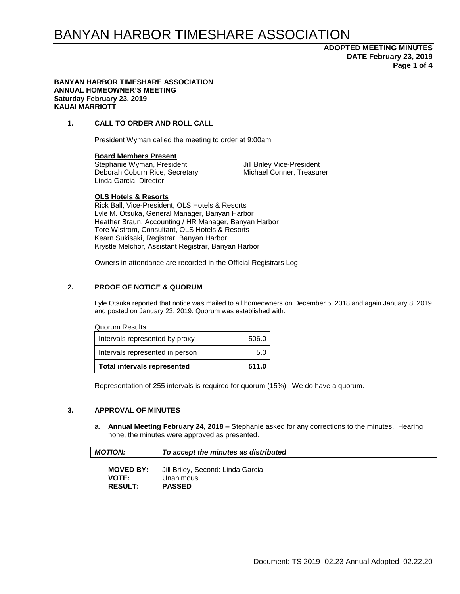## **ADOPTED MEETING MINUTES DATE February 23, 2019 Page 1 of 4**

#### **BANYAN HARBOR TIMESHARE ASSOCIATION ANNUAL HOMEOWNER'S MEETING Saturday February 23, 2019 KAUAI MARRIOTT**

## **1. CALL TO ORDER AND ROLL CALL**

President Wyman called the meeting to order at 9:00am

#### **Board Members Present**

Stephanie Wyman, President Jill Briley Vice-President Deborah Coburn Rice, Secretary Michael Conner, Treasurer Linda Garcia, Director

#### **OLS Hotels & Resorts**

Rick Ball, Vice-President, OLS Hotels & Resorts Lyle M. Otsuka, General Manager, Banyan Harbor Heather Braun, Accounting / HR Manager, Banyan Harbor Tore Wistrom, Consultant, OLS Hotels & Resorts Kearn Sukisaki, Registrar, Banyan Harbor Krystle Melchor, Assistant Registrar, Banyan Harbor

Owners in attendance are recorded in the Official Registrars Log

## **2. PROOF OF NOTICE & QUORUM**

Lyle Otsuka reported that notice was mailed to all homeowners on December 5, 2018 and again January 8, 2019 and posted on January 23, 2019. Quorum was established with:

#### Quorum Results

| <b>Total intervals represented</b> | 511.0 |
|------------------------------------|-------|
| Intervals represented in person    | 5.0   |
| Intervals represented by proxy     | 506.0 |

Representation of 255 intervals is required for quorum (15%). We do have a quorum.

#### **3. APPROVAL OF MINUTES**

a. **Annual Meeting February 24, 2018 –** Stephanie asked for any corrections to the minutes. Hearing none, the minutes were approved as presented.

|  | <b>MOTION:</b> | To accept the minutes as distributed |
|--|----------------|--------------------------------------|
|--|----------------|--------------------------------------|

| <b>MOVED BY:</b> | Jill Briley, Second: Linda Garcia |
|------------------|-----------------------------------|
| <b>VOTE:</b>     | Unanimous                         |
| <b>RESULT:</b>   | <b>PASSED</b>                     |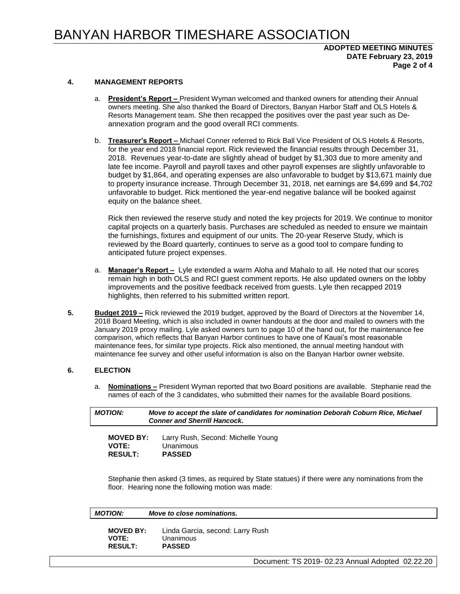## **ADOPTED MEETING MINUTES DATE February 23, 2019 Page 2 of 4**

#### **4. MANAGEMENT REPORTS**

- a. **President's Report –** President Wyman welcomed and thanked owners for attending their Annual owners meeting. She also thanked the Board of Directors, Banyan Harbor Staff and OLS Hotels & Resorts Management team. She then recapped the positives over the past year such as Deannexation program and the good overall RCI comments.
- b. **Treasurer's Report –** Michael Conner referred to Rick Ball Vice President of OLS Hotels & Resorts, for the year end 2018 financial report. Rick reviewed the financial results through December 31, 2018. Revenues year-to-date are slightly ahead of budget by \$1,303 due to more amenity and late fee income. Payroll and payroll taxes and other payroll expenses are slightly unfavorable to budget by \$1,864, and operating expenses are also unfavorable to budget by \$13,671 mainly due to property insurance increase. Through December 31, 2018, net earnings are \$4,699 and \$4,702 unfavorable to budget. Rick mentioned the year-end negative balance will be booked against equity on the balance sheet.

Rick then reviewed the reserve study and noted the key projects for 2019. We continue to monitor capital projects on a quarterly basis. Purchases are scheduled as needed to ensure we maintain the furnishings, fixtures and equipment of our units. The 20-year Reserve Study, which is reviewed by the Board quarterly, continues to serve as a good tool to compare funding to anticipated future project expenses.

- a. **Manager's Report –** Lyle extended a warm Aloha and Mahalo to all. He noted that our scores remain high in both OLS and RCI guest comment reports. He also updated owners on the lobby improvements and the positive feedback received from guests. Lyle then recapped 2019 highlights, then referred to his submitted written report.
- **5. Budget 2019 –** Rick reviewed the 2019 budget, approved by the Board of Directors at the November 14, 2018 Board Meeting, which is also included in owner handouts at the door and mailed to owners with the January 2019 proxy mailing. Lyle asked owners turn to page 10 of the hand out, for the maintenance fee comparison, which reflects that Banyan Harbor continues to have one of Kauai's most reasonable maintenance fees, for similar type projects. Rick also mentioned, the annual meeting handout with maintenance fee survey and other useful information is also on the Banyan Harbor owner website.

## **6. ELECTION**

a. **Nominations –** President Wyman reported that two Board positions are available. Stephanie read the names of each of the 3 candidates, who submitted their names for the available Board positions.

| <b>MOTION:</b>        | Move to accept the slate of candidates for nomination Deborah Coburn Rice, Michael<br><b>Conner and Sherrill Hancock.</b> |
|-----------------------|---------------------------------------------------------------------------------------------------------------------------|
| $M$ $N$ $F$ $N$ $N$ . | assas Duale Canada Michalle Varian                                                                                        |

| <b>MOVED BY:</b> | Larry Rush, Second: Michelle Young |
|------------------|------------------------------------|
| <b>VOTE:</b>     | Unanimous                          |
| <b>RESULT:</b>   | <b>PASSED</b>                      |
|                  |                                    |

Stephanie then asked (3 times, as required by State statues) if there were any nominations from the floor. Hearing none the following motion was made:

| <b>MOTION:</b> |  |
|----------------|--|
|----------------|--|

*Move to close nominations.* 

**MOVED BY:** Linda Garcia, second: Larry Rush **VOTE:** Unanimous **RESULT: PASSED**

Document: TS 2019- 02.23 Annual Adopted 02.22.20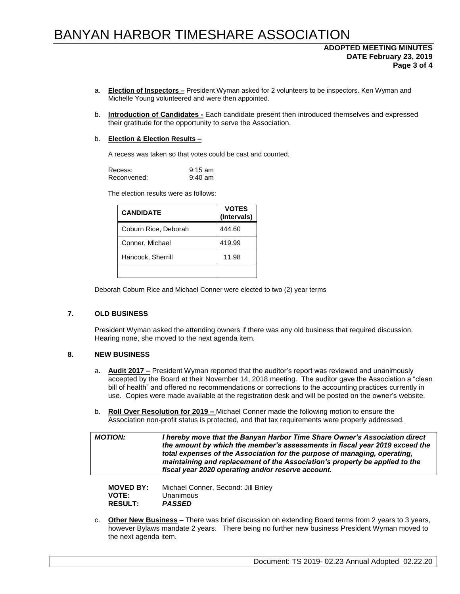## **ADOPTED MEETING MINUTES DATE February 23, 2019 Page 3 of 4**

- a. **Election of Inspectors –** President Wyman asked for 2 volunteers to be inspectors. Ken Wyman and Michelle Young volunteered and were then appointed.
- b. **Introduction of Candidates -** Each candidate present then introduced themselves and expressed their gratitude for the opportunity to serve the Association.

#### b. **Election & Election Results –**

A recess was taken so that votes could be cast and counted.

| Recess:     | $9:15 \text{ am}$ |
|-------------|-------------------|
| Reconvened: | $9:40 \text{ am}$ |

The election results were as follows:

| <b>CANDIDATE</b>     | <b>VOTES</b><br>(Intervals) |
|----------------------|-----------------------------|
| Coburn Rice, Deborah | 444.60                      |
| Conner, Michael      | 419.99                      |
| Hancock, Sherrill    | 11.98                       |
|                      |                             |

Deborah Coburn Rice and Michael Conner were elected to two (2) year terms

## **7. OLD BUSINESS**

President Wyman asked the attending owners if there was any old business that required discussion. Hearing none, she moved to the next agenda item.

## **8. NEW BUSINESS**

- a. **Audit 2017 –** President Wyman reported that the auditor's report was reviewed and unanimously accepted by the Board at their November 14, 2018 meeting. The auditor gave the Association a "clean bill of health" and offered no recommendations or corrections to the accounting practices currently in use. Copies were made available at the registration desk and will be posted on the owner's website.
- b. **Roll Over Resolution for 2019 –** Michael Conner made the following motion to ensure the Association non-profit status is protected, and that tax requirements were properly addressed.

*MOTION: I hereby move that the Banyan Harbor Time Share Owner's Association direct the amount by which the member's assessments in fiscal year 2019 exceed the total expenses of the Association for the purpose of managing, operating, maintaining and replacement of the Association's property be applied to the fiscal year 2020 operating and/or reserve account.*

| <b>MOVED BY:</b> | Michael Conner, Second: Jill Briley |
|------------------|-------------------------------------|
| <b>VOTE:</b>     | Unanimous                           |
| <b>RESULT:</b>   | <b>PASSED</b>                       |

c. **Other New Business** – There was brief discussion on extending Board terms from 2 years to 3 years, however Bylaws mandate 2 years. There being no further new business President Wyman moved to the next agenda item.